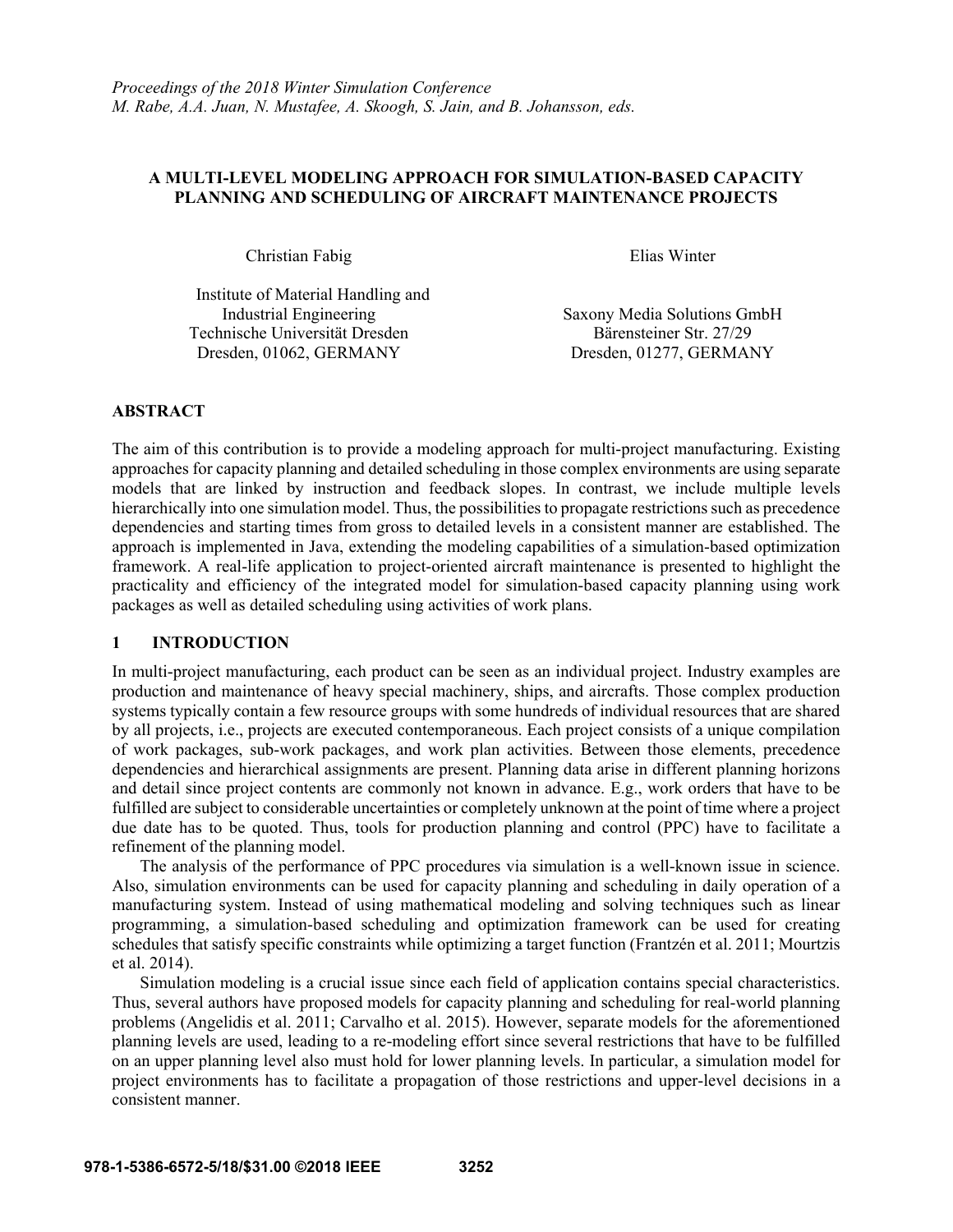### **A MULTI-LEVEL MODELING APPROACH FOR SIMULATION-BASED CAPACITY PLANNING AND SCHEDULING OF AIRCRAFT MAINTENANCE PROJECTS**

Christian Fabig Elias Winter

Institute of Material Handling and Technische Universität Dresden Bärensteiner Str. 27/29 Dresden, 01062, GERMANY Dresden, 01277, GERMANY

Industrial Engineering Saxony Media Solutions GmbH

### **ABSTRACT**

The aim of this contribution is to provide a modeling approach for multi-project manufacturing. Existing approaches for capacity planning and detailed scheduling in those complex environments are using separate models that are linked by instruction and feedback slopes. In contrast, we include multiple levels hierarchically into one simulation model. Thus, the possibilities to propagate restrictions such as precedence dependencies and starting times from gross to detailed levels in a consistent manner are established. The approach is implemented in Java, extending the modeling capabilities of a simulation-based optimization framework. A real-life application to project-oriented aircraft maintenance is presented to highlight the practicality and efficiency of the integrated model for simulation-based capacity planning using work packages as well as detailed scheduling using activities of work plans.

### **1 INTRODUCTION**

In multi-project manufacturing, each product can be seen as an individual project. Industry examples are production and maintenance of heavy special machinery, ships, and aircrafts. Those complex production systems typically contain a few resource groups with some hundreds of individual resources that are shared by all projects, i.e., projects are executed contemporaneous. Each project consists of a unique compilation of work packages, sub-work packages, and work plan activities. Between those elements, precedence dependencies and hierarchical assignments are present. Planning data arise in different planning horizons and detail since project contents are commonly not known in advance. E.g., work orders that have to be fulfilled are subject to considerable uncertainties or completely unknown at the point of time where a project due date has to be quoted. Thus, tools for production planning and control (PPC) have to facilitate a refinement of the planning model.

The analysis of the performance of PPC procedures via simulation is a well-known issue in science. Also, simulation environments can be used for capacity planning and scheduling in daily operation of a manufacturing system. Instead of using mathematical modeling and solving techniques such as linear programming, a simulation-based scheduling and optimization framework can be used for creating schedules that satisfy specific constraints while optimizing a target function (Frantzén et al. 2011; Mourtzis et al. 2014).

Simulation modeling is a crucial issue since each field of application contains special characteristics. Thus, several authors have proposed models for capacity planning and scheduling for real-world planning problems (Angelidis et al. 2011; Carvalho et al. 2015). However, separate models for the aforementioned planning levels are used, leading to a re-modeling effort since several restrictions that have to be fulfilled on an upper planning level also must hold for lower planning levels. In particular, a simulation model for project environments has to facilitate a propagation of those restrictions and upper-level decisions in a consistent manner.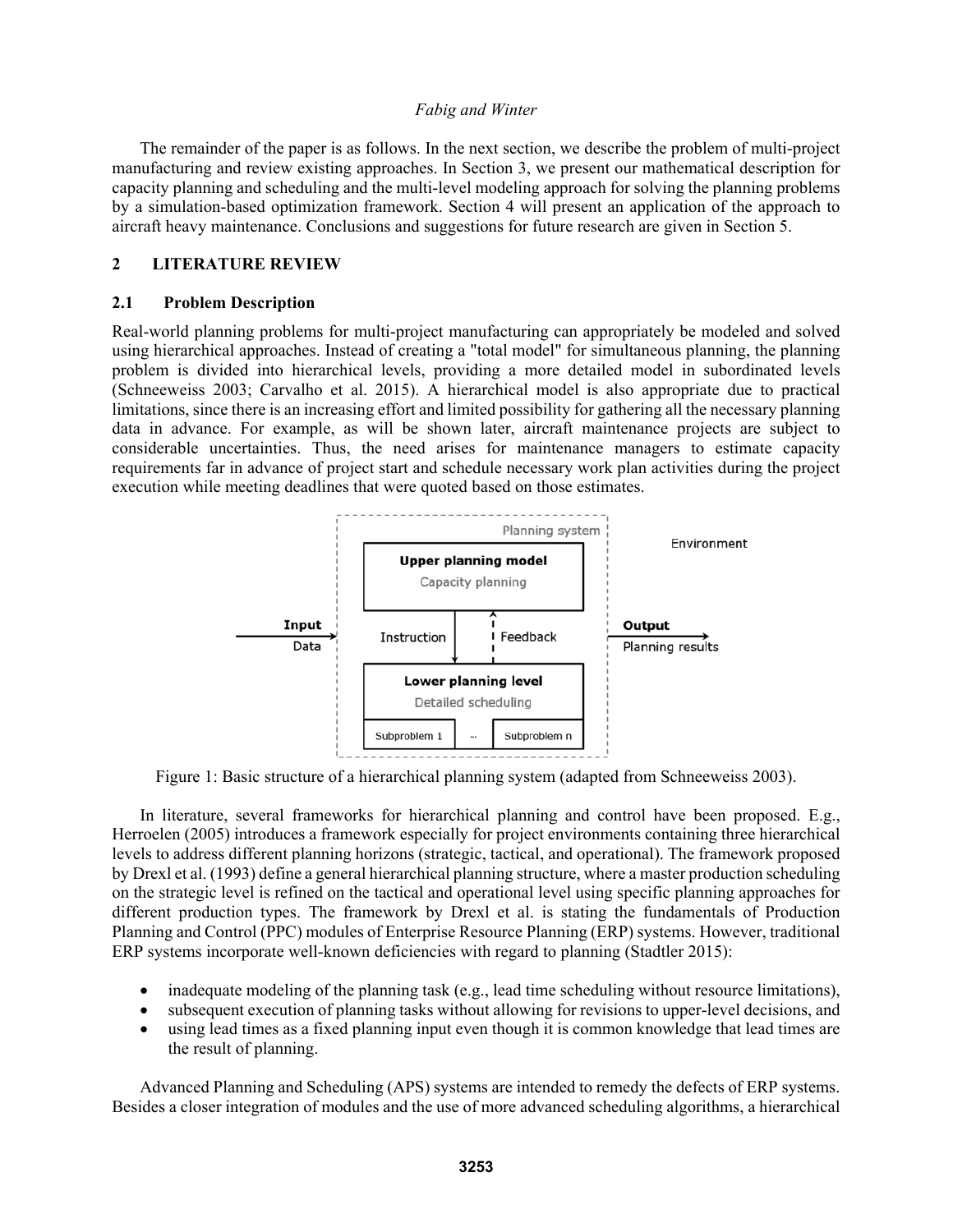The remainder of the paper is as follows. In the next section, we describe the problem of multi-project manufacturing and review existing approaches. In Section 3, we present our mathematical description for capacity planning and scheduling and the multi-level modeling approach for solving the planning problems by a simulation-based optimization framework. Section 4 will present an application of the approach to aircraft heavy maintenance. Conclusions and suggestions for future research are given in Section 5.

### **2 LITERATURE REVIEW**

### **2.1 Problem Description**

Real-world planning problems for multi-project manufacturing can appropriately be modeled and solved using hierarchical approaches. Instead of creating a "total model" for simultaneous planning, the planning problem is divided into hierarchical levels, providing a more detailed model in subordinated levels (Schneeweiss 2003; Carvalho et al. 2015). A hierarchical model is also appropriate due to practical limitations, since there is an increasing effort and limited possibility for gathering all the necessary planning data in advance. For example, as will be shown later, aircraft maintenance projects are subject to considerable uncertainties. Thus, the need arises for maintenance managers to estimate capacity requirements far in advance of project start and schedule necessary work plan activities during the project execution while meeting deadlines that were quoted based on those estimates.



Figure 1: Basic structure of a hierarchical planning system (adapted from Schneeweiss 2003).

In literature, several frameworks for hierarchical planning and control have been proposed. E.g., Herroelen (2005) introduces a framework especially for project environments containing three hierarchical levels to address different planning horizons (strategic, tactical, and operational). The framework proposed by Drexl et al. (1993) define a general hierarchical planning structure, where a master production scheduling on the strategic level is refined on the tactical and operational level using specific planning approaches for different production types. The framework by Drexl et al. is stating the fundamentals of Production Planning and Control (PPC) modules of Enterprise Resource Planning (ERP) systems. However, traditional ERP systems incorporate well-known deficiencies with regard to planning (Stadtler 2015):

- inadequate modeling of the planning task (e.g., lead time scheduling without resource limitations),
- subsequent execution of planning tasks without allowing for revisions to upper-level decisions, and
- using lead times as a fixed planning input even though it is common knowledge that lead times are the result of planning.

Advanced Planning and Scheduling (APS) systems are intended to remedy the defects of ERP systems. Besides a closer integration of modules and the use of more advanced scheduling algorithms, a hierarchical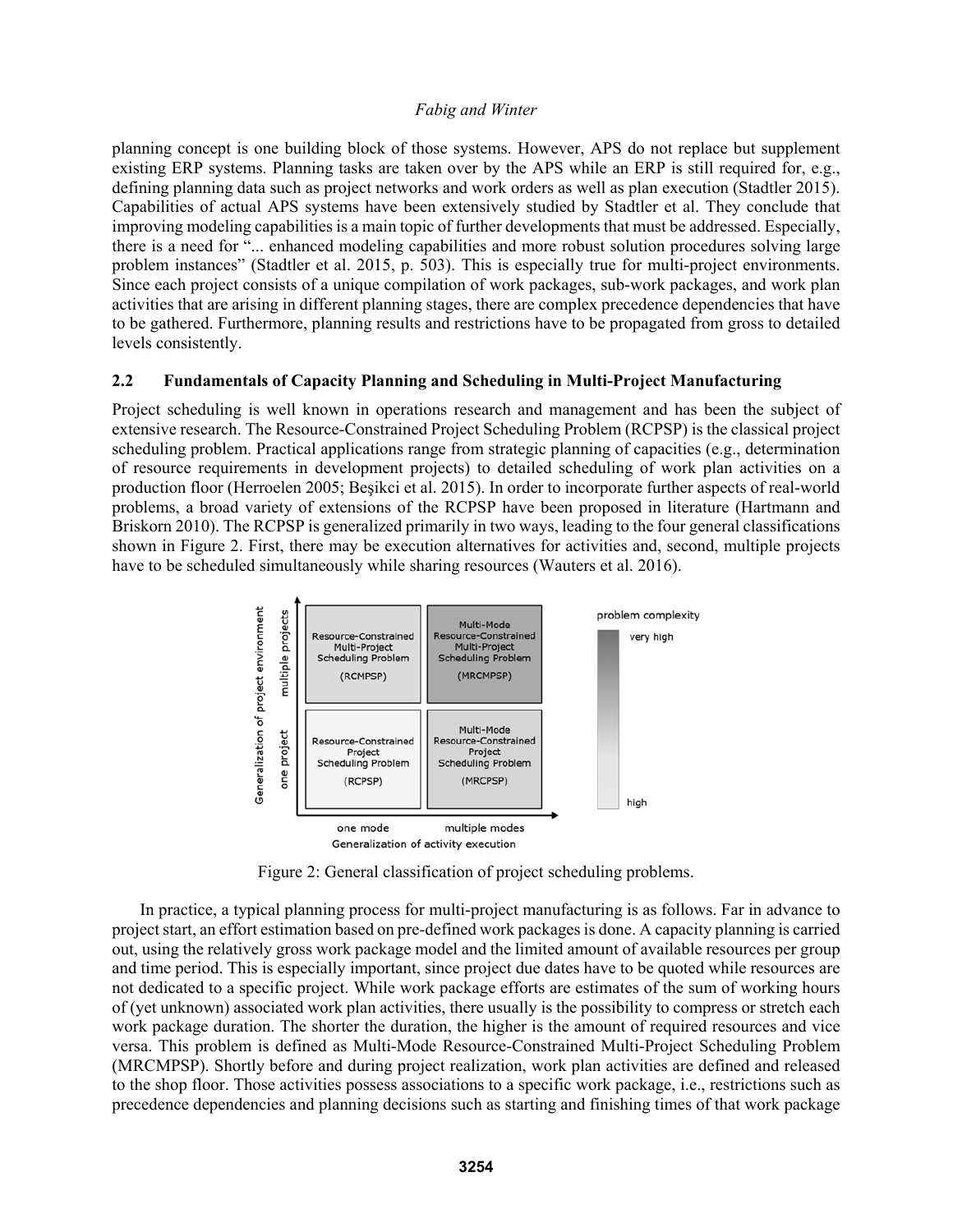planning concept is one building block of those systems. However, APS do not replace but supplement existing ERP systems. Planning tasks are taken over by the APS while an ERP is still required for, e.g., defining planning data such as project networks and work orders as well as plan execution (Stadtler 2015). Capabilities of actual APS systems have been extensively studied by Stadtler et al. They conclude that improving modeling capabilities is a main topic of further developments that must be addressed. Especially, there is a need for "... enhanced modeling capabilities and more robust solution procedures solving large problem instances" (Stadtler et al. 2015, p. 503). This is especially true for multi-project environments. Since each project consists of a unique compilation of work packages, sub-work packages, and work plan activities that are arising in different planning stages, there are complex precedence dependencies that have to be gathered. Furthermore, planning results and restrictions have to be propagated from gross to detailed levels consistently.

### **2.2 Fundamentals of Capacity Planning and Scheduling in Multi-Project Manufacturing**

Project scheduling is well known in operations research and management and has been the subject of extensive research. The Resource-Constrained Project Scheduling Problem (RCPSP) is the classical project scheduling problem. Practical applications range from strategic planning of capacities (e.g., determination of resource requirements in development projects) to detailed scheduling of work plan activities on a production floor (Herroelen 2005; Beşikci et al. 2015). In order to incorporate further aspects of real-world problems, a broad variety of extensions of the RCPSP have been proposed in literature (Hartmann and Briskorn 2010). The RCPSP is generalized primarily in two ways, leading to the four general classifications shown in Figure 2. First, there may be execution alternatives for activities and, second, multiple projects have to be scheduled simultaneously while sharing resources (Wauters et al. 2016).



Figure 2: General classification of project scheduling problems.

In practice, a typical planning process for multi-project manufacturing is as follows. Far in advance to project start, an effort estimation based on pre-defined work packages is done. A capacity planning is carried out, using the relatively gross work package model and the limited amount of available resources per group and time period. This is especially important, since project due dates have to be quoted while resources are not dedicated to a specific project. While work package efforts are estimates of the sum of working hours of (yet unknown) associated work plan activities, there usually is the possibility to compress or stretch each work package duration. The shorter the duration, the higher is the amount of required resources and vice versa. This problem is defined as Multi-Mode Resource-Constrained Multi-Project Scheduling Problem (MRCMPSP). Shortly before and during project realization, work plan activities are defined and released to the shop floor. Those activities possess associations to a specific work package, i.e., restrictions such as precedence dependencies and planning decisions such as starting and finishing times of that work package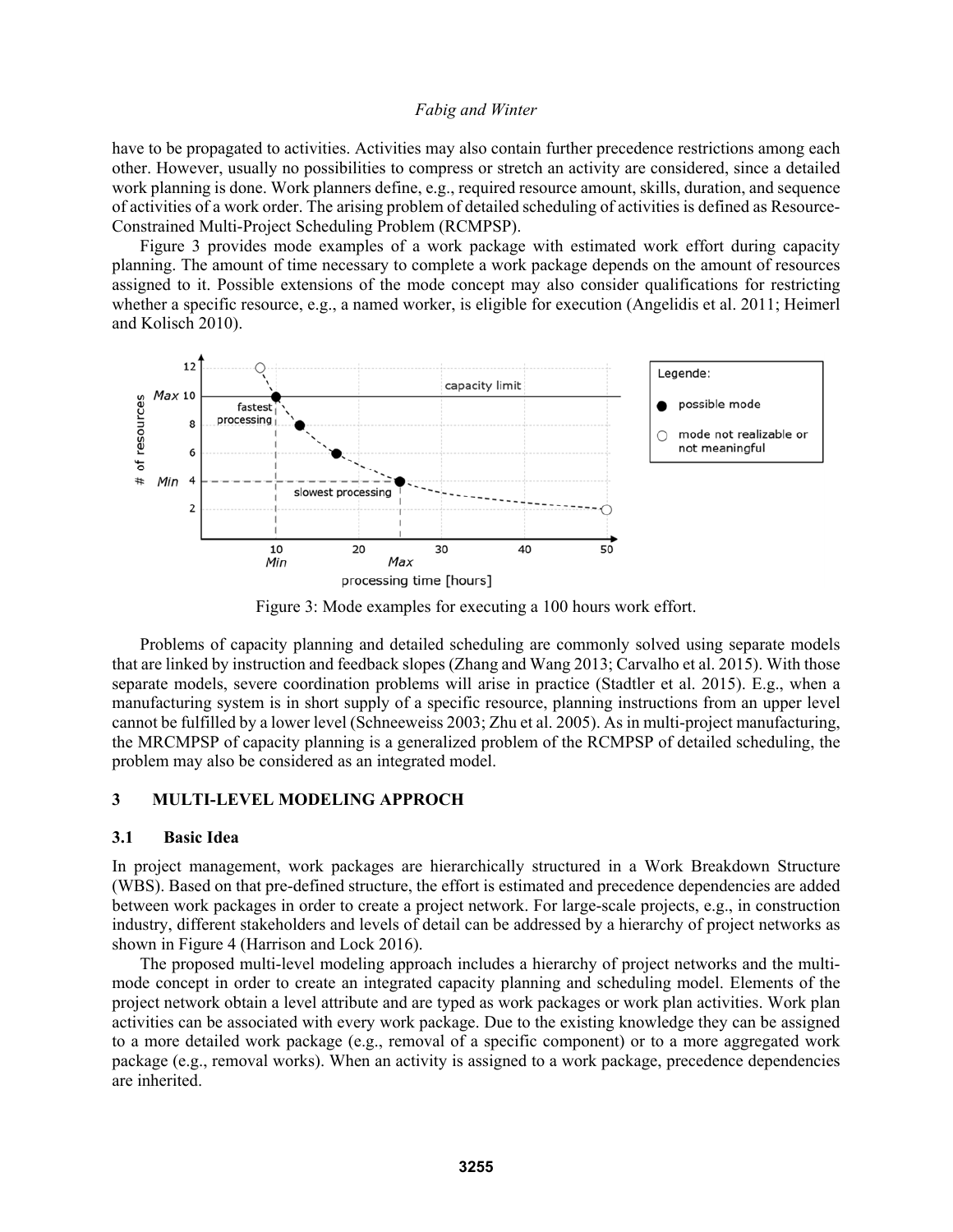have to be propagated to activities. Activities may also contain further precedence restrictions among each other. However, usually no possibilities to compress or stretch an activity are considered, since a detailed work planning is done. Work planners define, e.g., required resource amount, skills, duration, and sequence of activities of a work order. The arising problem of detailed scheduling of activities is defined as Resource-Constrained Multi-Project Scheduling Problem (RCMPSP).

Figure 3 provides mode examples of a work package with estimated work effort during capacity planning. The amount of time necessary to complete a work package depends on the amount of resources assigned to it. Possible extensions of the mode concept may also consider qualifications for restricting whether a specific resource, e.g., a named worker, is eligible for execution (Angelidis et al. 2011; Heimerl and Kolisch 2010).



Figure 3: Mode examples for executing a 100 hours work effort.

Problems of capacity planning and detailed scheduling are commonly solved using separate models that are linked by instruction and feedback slopes (Zhang and Wang 2013; Carvalho et al. 2015). With those separate models, severe coordination problems will arise in practice (Stadtler et al. 2015). E.g., when a manufacturing system is in short supply of a specific resource, planning instructions from an upper level cannot be fulfilled by a lower level (Schneeweiss 2003; Zhu et al. 2005). As in multi-project manufacturing, the MRCMPSP of capacity planning is a generalized problem of the RCMPSP of detailed scheduling, the problem may also be considered as an integrated model.

### **3 MULTI-LEVEL MODELING APPROCH**

#### **3.1 Basic Idea**

In project management, work packages are hierarchically structured in a Work Breakdown Structure (WBS). Based on that pre-defined structure, the effort is estimated and precedence dependencies are added between work packages in order to create a project network. For large-scale projects, e.g., in construction industry, different stakeholders and levels of detail can be addressed by a hierarchy of project networks as shown in Figure 4 (Harrison and Lock 2016).

The proposed multi-level modeling approach includes a hierarchy of project networks and the multimode concept in order to create an integrated capacity planning and scheduling model. Elements of the project network obtain a level attribute and are typed as work packages or work plan activities. Work plan activities can be associated with every work package. Due to the existing knowledge they can be assigned to a more detailed work package (e.g., removal of a specific component) or to a more aggregated work package (e.g., removal works). When an activity is assigned to a work package, precedence dependencies are inherited.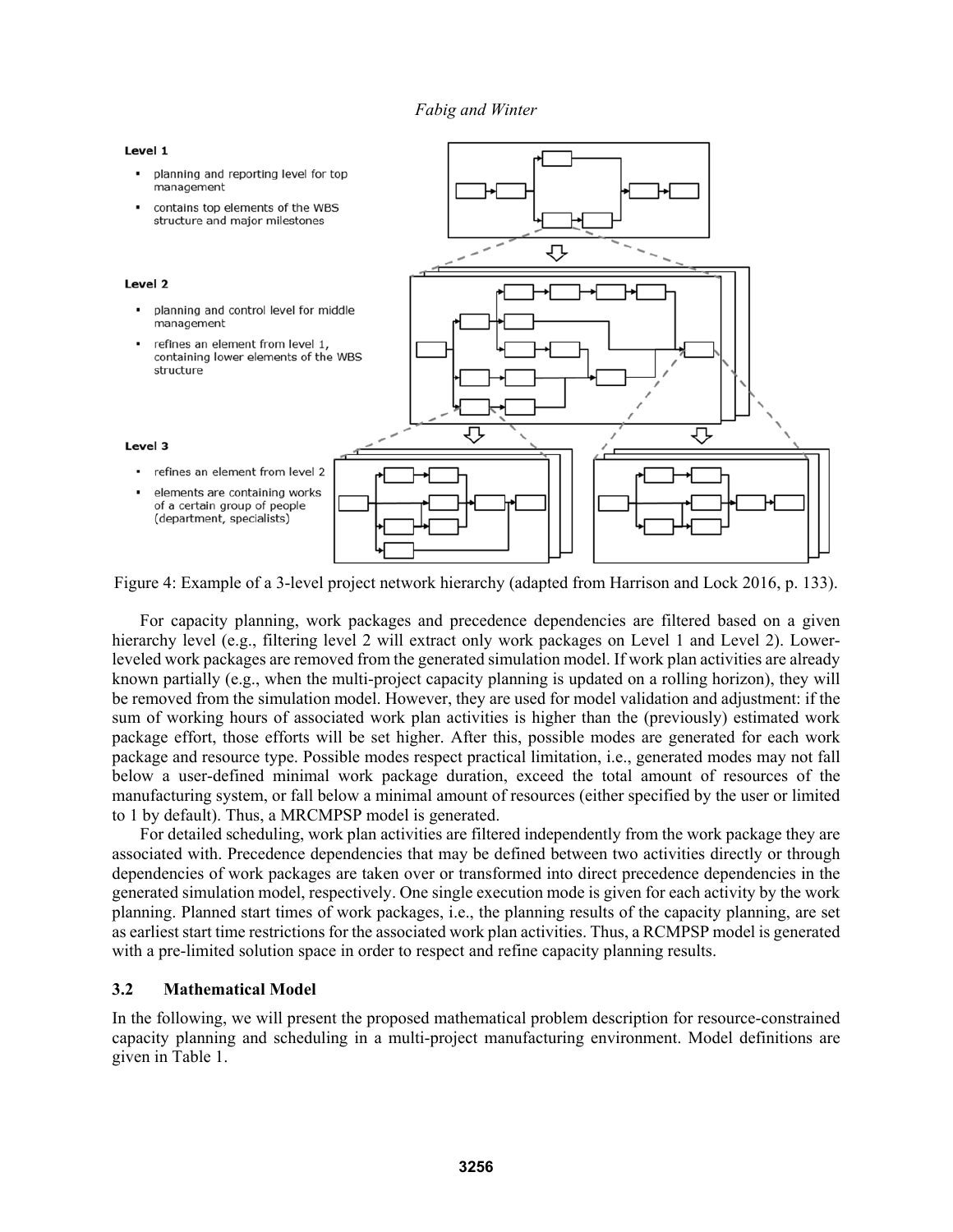

Figure 4: Example of a 3-level project network hierarchy (adapted from Harrison and Lock 2016, p. 133).

For capacity planning, work packages and precedence dependencies are filtered based on a given hierarchy level (e.g., filtering level 2 will extract only work packages on Level 1 and Level 2). Lowerleveled work packages are removed from the generated simulation model. If work plan activities are already known partially (e.g., when the multi-project capacity planning is updated on a rolling horizon), they will be removed from the simulation model. However, they are used for model validation and adjustment: if the sum of working hours of associated work plan activities is higher than the (previously) estimated work package effort, those efforts will be set higher. After this, possible modes are generated for each work package and resource type. Possible modes respect practical limitation, i.e., generated modes may not fall below a user-defined minimal work package duration, exceed the total amount of resources of the manufacturing system, or fall below a minimal amount of resources (either specified by the user or limited to 1 by default). Thus, a MRCMPSP model is generated.

For detailed scheduling, work plan activities are filtered independently from the work package they are associated with. Precedence dependencies that may be defined between two activities directly or through dependencies of work packages are taken over or transformed into direct precedence dependencies in the generated simulation model, respectively. One single execution mode is given for each activity by the work planning. Planned start times of work packages, i.e., the planning results of the capacity planning, are set as earliest start time restrictions for the associated work plan activities. Thus, a RCMPSP model is generated with a pre-limited solution space in order to respect and refine capacity planning results.

### **3.2 Mathematical Model**

In the following, we will present the proposed mathematical problem description for resource-constrained capacity planning and scheduling in a multi-project manufacturing environment. Model definitions are given in Table 1.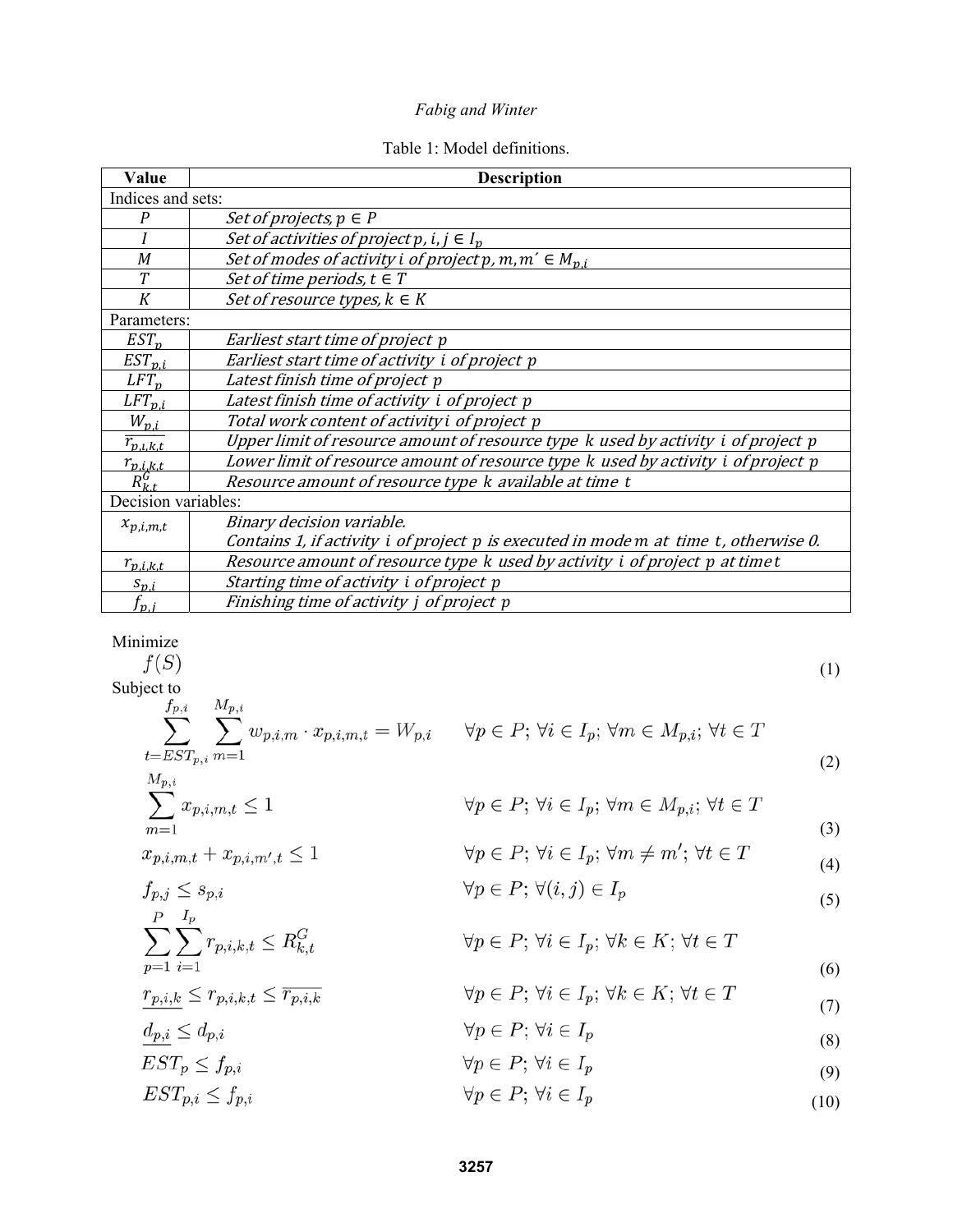# Table 1: Model definitions.

| Value                           | <b>Description</b>                                                                   |
|---------------------------------|--------------------------------------------------------------------------------------|
| Indices and sets:               |                                                                                      |
| P                               | <i>Set of projects, <math>p \in P</math></i>                                         |
|                                 | Set of activities of project p, i, $j \in I_p$                                       |
| M                               | Set of modes of activity i of project p, m, $m' \in M_{p,i}$                         |
| Т                               | Set of time periods, $t \in T$                                                       |
| K                               | Set of resource types, $k \in K$                                                     |
| Parameters:                     |                                                                                      |
| $EST_n$                         | Earliest start time of project p                                                     |
| $EST_{p,i}$                     | Earliest start time of activity i of project p                                       |
| $LFT_n$                         | Latest finish time of project p                                                      |
| $LFT_{n,i}$                     | Latest finish time of activity i of project p                                        |
| $W_{p,i}$                       | Total work content of activity i of project p                                        |
| $\overline{r_{p.l.k.t}}$        | Upper limit of resource amount of resource type k used by activity i of project p    |
|                                 | Lower limit of resource amount of resource type k used by activity i of project p    |
| $\frac{r_{p,i,k,t}}{R_{k,t}^G}$ | Resource amount of resource type k available at time t                               |
| Decision variables:             |                                                                                      |
| $x_{p,i,m,t}$                   | Binary decision variable.                                                            |
|                                 | Contains 1, if activity i of project p is executed in mode m at time t, otherwise 0. |
| $r_{p,i,k,t}$                   | Resource amount of resource type k used by activity i of project p at time t         |
| $S_{\nu,i}$                     | Starting time of activity i of project p                                             |
| $f_{\bm{v}.\,}$                 | Finishing time of activity j of project p                                            |

 $\begin{array}{c}\text{Minimize}\\ f(S)\end{array}$ 

$$
f(S)
$$
\n
$$
\begin{aligned}\n\text{Subject to} & \sum_{t=EST_{p,i}}^{f_{p,i}} \sum_{m=1}^{M_{p,i}} w_{p,i,m} \cdot x_{p,i,m,t} = W_{p,i} \quad \forall p \in P; \forall i \in I_p; \forall m \in M_{p,i}; \forall t \in T \\
& \sum_{m=1}^{M_{p,i}} x_{p,i,m,t} \le 1 \quad \forall p \in P; \forall i \in I_p; \forall m \in M_{p,i}; \forall t \in T\n\end{aligned}
$$
\n
$$
x_{p,i,m,t} + x_{p,i,m',t} \le 1 \quad \forall p \in P; \forall i \in I_p; \forall m \ne m'; \forall t \in T\n\tag{3}
$$
\n
$$
f_{p,j} \le s_{p,i} \quad \forall p \in P; \forall i \in I_p; \forall m \ne m'; \forall t \in T\n\tag{4}
$$
\n
$$
\sum_{p=1}^{P} \sum_{i=1}^{I_p} r_{p,i,k,t} \le R_{k,t}^G \quad \forall p \in P; \forall i \in I_p; \forall k \in K; \forall t \in T\n\tag{5}
$$
\n
$$
\frac{r_{p,i,k}}{g_{p,i}} \le r_{p,i,k,t} \le \overline{r_{p,i,k}} \quad \forall p \in P; \forall i \in I_p; \forall k \in K; \forall t \in T\n\tag{6}
$$
\n
$$
\frac{d_{p,i}}{g_{p,i}} \le d_{p,i} \quad \forall p \in P; \forall i \in I_p\n\tag{8}
$$
\n
$$
\forall p \in P; \forall i \in I_p\n\tag{9}
$$

 $EST_{p,i} \leq f_{p,i}$  $\forall p \in P; \, \forall i \in I_p$ (10)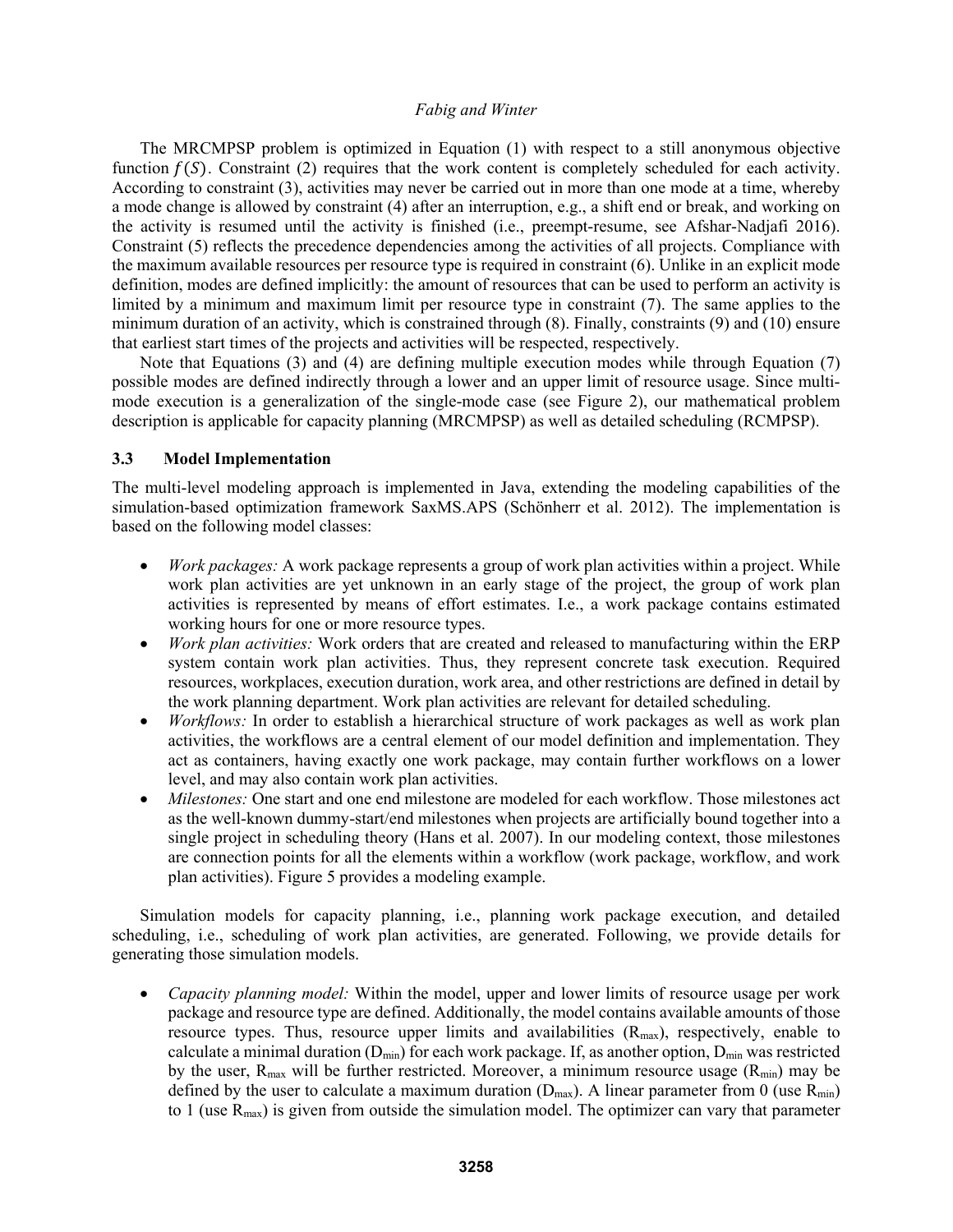The MRCMPSP problem is optimized in Equation (1) with respect to a still anonymous objective function  $f(S)$ . Constraint (2) requires that the work content is completely scheduled for each activity. According to constraint (3), activities may never be carried out in more than one mode at a time, whereby a mode change is allowed by constraint (4) after an interruption, e.g., a shift end or break, and working on the activity is resumed until the activity is finished (i.e., preempt-resume, see Afshar-Nadjafi 2016). Constraint (5) reflects the precedence dependencies among the activities of all projects. Compliance with the maximum available resources per resource type is required in constraint (6). Unlike in an explicit mode definition, modes are defined implicitly: the amount of resources that can be used to perform an activity is limited by a minimum and maximum limit per resource type in constraint (7). The same applies to the minimum duration of an activity, which is constrained through (8). Finally, constraints (9) and (10) ensure that earliest start times of the projects and activities will be respected, respectively.

Note that Equations (3) and (4) are defining multiple execution modes while through Equation (7) possible modes are defined indirectly through a lower and an upper limit of resource usage. Since multimode execution is a generalization of the single-mode case (see Figure 2), our mathematical problem description is applicable for capacity planning (MRCMPSP) as well as detailed scheduling (RCMPSP).

#### **3.3 Model Implementation**

The multi-level modeling approach is implemented in Java, extending the modeling capabilities of the simulation-based optimization framework SaxMS.APS (Schönherr et al. 2012). The implementation is based on the following model classes:

- *Work packages:* A work package represents a group of work plan activities within a project. While work plan activities are yet unknown in an early stage of the project, the group of work plan activities is represented by means of effort estimates. I.e., a work package contains estimated working hours for one or more resource types.
- *Work plan activities:* Work orders that are created and released to manufacturing within the ERP system contain work plan activities. Thus, they represent concrete task execution. Required resources, workplaces, execution duration, work area, and other restrictions are defined in detail by the work planning department. Work plan activities are relevant for detailed scheduling.
- *Workflows:* In order to establish a hierarchical structure of work packages as well as work plan activities, the workflows are a central element of our model definition and implementation. They act as containers, having exactly one work package, may contain further workflows on a lower level, and may also contain work plan activities.
- *Milestones:* One start and one end milestone are modeled for each workflow. Those milestones act as the well-known dummy-start/end milestones when projects are artificially bound together into a single project in scheduling theory (Hans et al. 2007). In our modeling context, those milestones are connection points for all the elements within a workflow (work package, workflow, and work plan activities). Figure 5 provides a modeling example.

Simulation models for capacity planning, i.e., planning work package execution, and detailed scheduling, i.e., scheduling of work plan activities, are generated. Following, we provide details for generating those simulation models.

 *Capacity planning model:* Within the model, upper and lower limits of resource usage per work package and resource type are defined. Additionally, the model contains available amounts of those resource types. Thus, resource upper limits and availabilities  $(R_{max})$ , respectively, enable to calculate a minimal duration  $(D_{min})$  for each work package. If, as another option,  $D_{min}$  was restricted by the user,  $R_{\text{max}}$  will be further restricted. Moreover, a minimum resource usage  $(R_{\text{min}})$  may be defined by the user to calculate a maximum duration ( $D_{max}$ ). A linear parameter from 0 (use  $R_{min}$ ) to 1 (use  $R_{max}$ ) is given from outside the simulation model. The optimizer can vary that parameter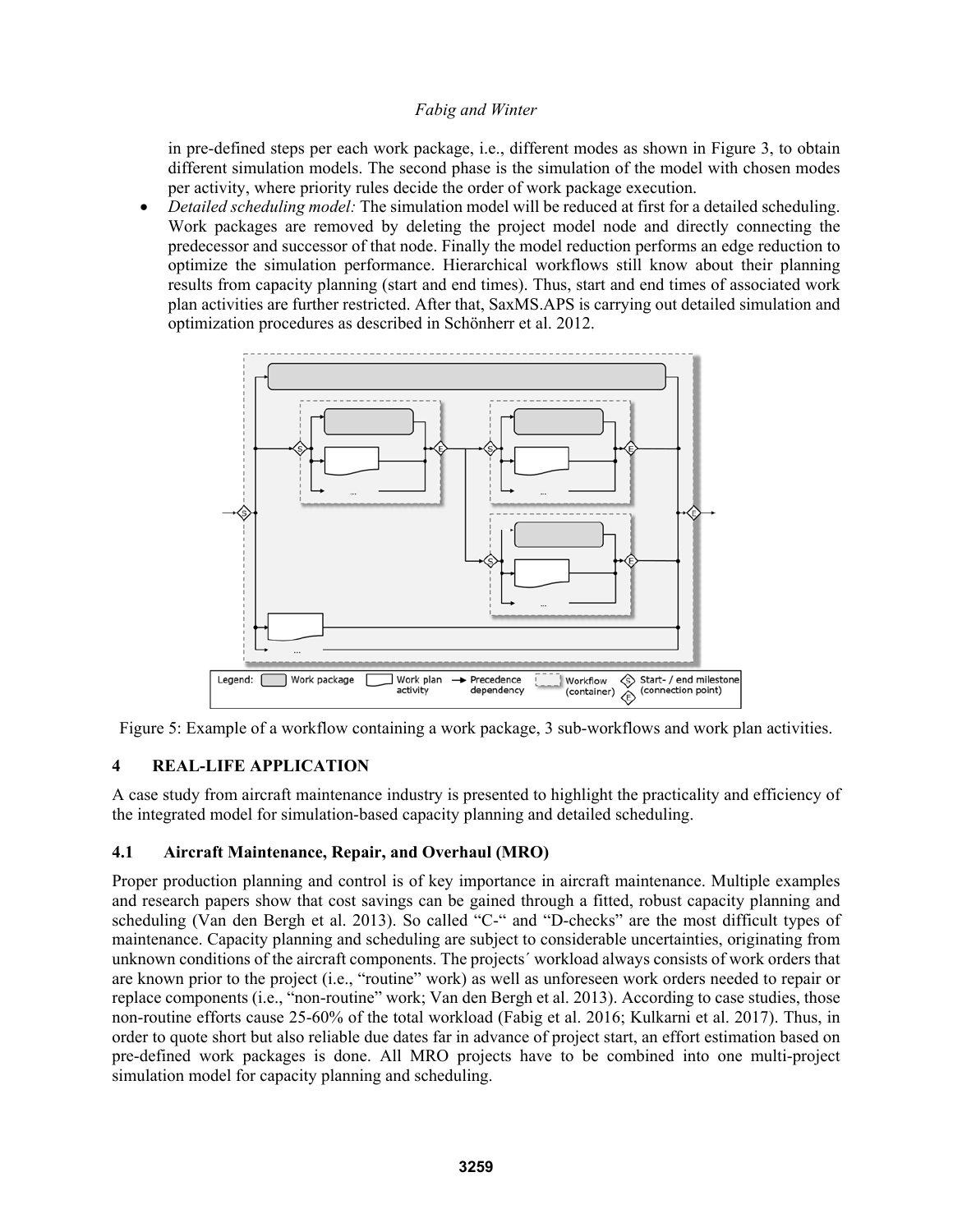in pre-defined steps per each work package, i.e., different modes as shown in Figure 3, to obtain different simulation models. The second phase is the simulation of the model with chosen modes per activity, where priority rules decide the order of work package execution.

 *Detailed scheduling model:* The simulation model will be reduced at first for a detailed scheduling. Work packages are removed by deleting the project model node and directly connecting the predecessor and successor of that node. Finally the model reduction performs an edge reduction to optimize the simulation performance. Hierarchical workflows still know about their planning results from capacity planning (start and end times). Thus, start and end times of associated work plan activities are further restricted. After that, SaxMS.APS is carrying out detailed simulation and optimization procedures as described in Schönherr et al. 2012.



Figure 5: Example of a workflow containing a work package, 3 sub-workflows and work plan activities.

## **4 REAL-LIFE APPLICATION**

A case study from aircraft maintenance industry is presented to highlight the practicality and efficiency of the integrated model for simulation-based capacity planning and detailed scheduling.

### **4.1 Aircraft Maintenance, Repair, and Overhaul (MRO)**

Proper production planning and control is of key importance in aircraft maintenance. Multiple examples and research papers show that cost savings can be gained through a fitted, robust capacity planning and scheduling (Van den Bergh et al. 2013). So called "C-" and "D-checks" are the most difficult types of maintenance. Capacity planning and scheduling are subject to considerable uncertainties, originating from unknown conditions of the aircraft components. The projects´ workload always consists of work orders that are known prior to the project (i.e., "routine" work) as well as unforeseen work orders needed to repair or replace components (i.e., "non-routine" work; Van den Bergh et al. 2013). According to case studies, those non-routine efforts cause 25-60% of the total workload (Fabig et al. 2016; Kulkarni et al. 2017). Thus, in order to quote short but also reliable due dates far in advance of project start, an effort estimation based on pre-defined work packages is done. All MRO projects have to be combined into one multi-project simulation model for capacity planning and scheduling.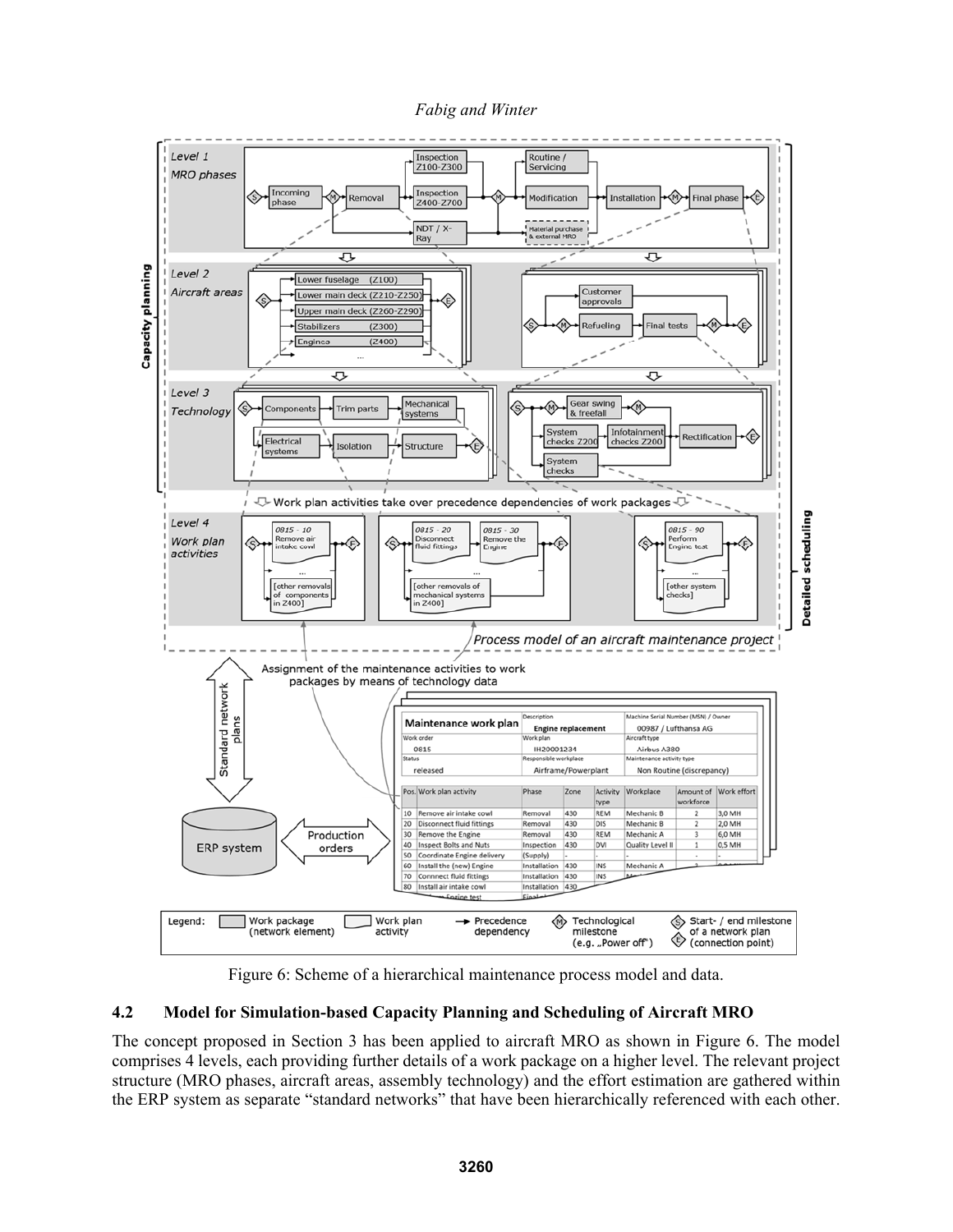*Fabig and Winter* 



Figure 6: Scheme of a hierarchical maintenance process model and data.

## **4.2 Model for Simulation-based Capacity Planning and Scheduling of Aircraft MRO**

The concept proposed in Section 3 has been applied to aircraft MRO as shown in Figure 6. The model comprises 4 levels, each providing further details of a work package on a higher level. The relevant project structure (MRO phases, aircraft areas, assembly technology) and the effort estimation are gathered within the ERP system as separate "standard networks" that have been hierarchically referenced with each other.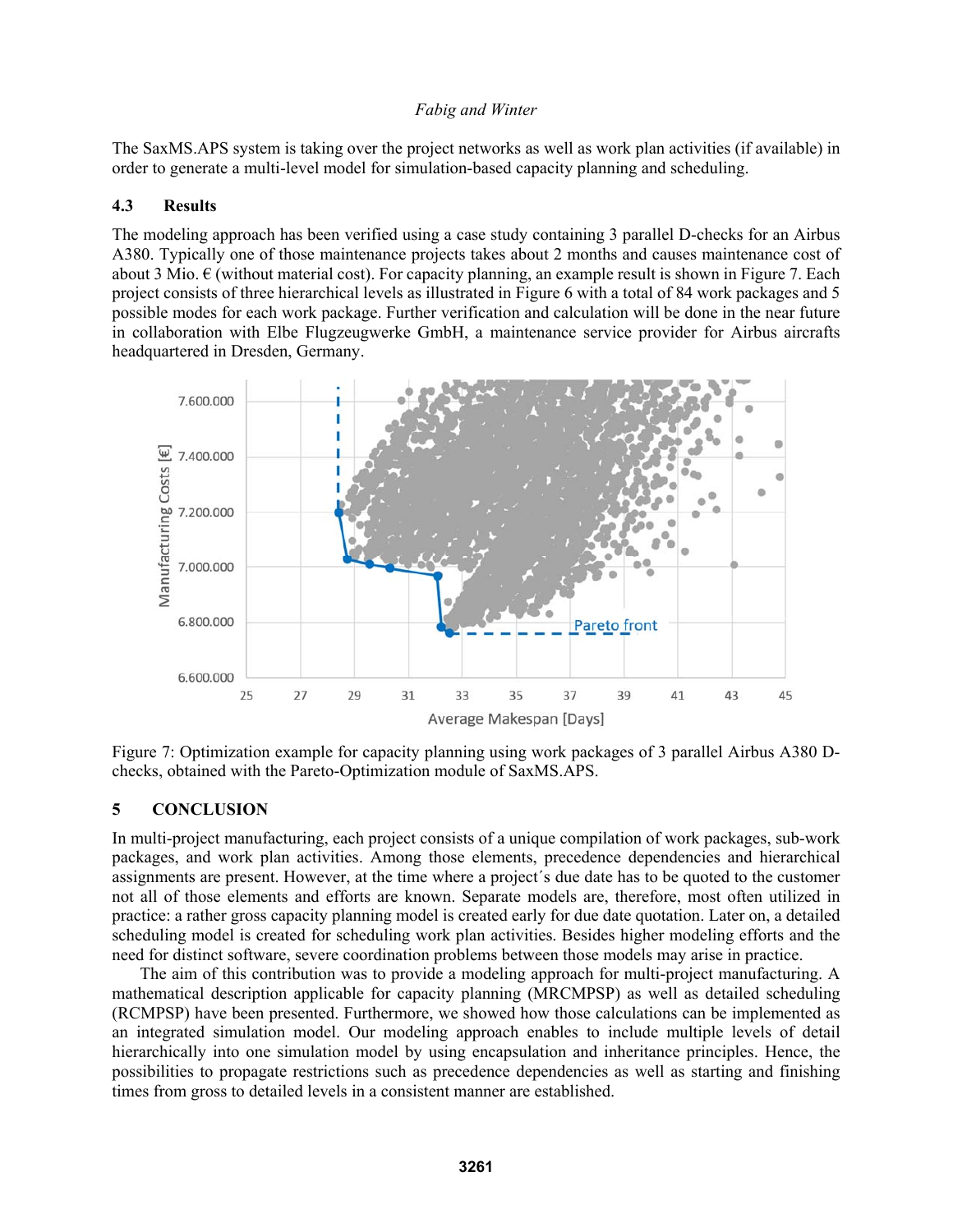The SaxMS.APS system is taking over the project networks as well as work plan activities (if available) in order to generate a multi-level model for simulation-based capacity planning and scheduling.

### **4.3 Results**

The modeling approach has been verified using a case study containing 3 parallel D-checks for an Airbus A380. Typically one of those maintenance projects takes about 2 months and causes maintenance cost of about 3 Mio.  $\epsilon$  (without material cost). For capacity planning, an example result is shown in Figure 7. Each project consists of three hierarchical levels as illustrated in Figure 6 with a total of 84 work packages and 5 possible modes for each work package. Further verification and calculation will be done in the near future in collaboration with Elbe Flugzeugwerke GmbH, a maintenance service provider for Airbus aircrafts headquartered in Dresden, Germany.



Figure 7: Optimization example for capacity planning using work packages of 3 parallel Airbus A380 Dchecks, obtained with the Pareto-Optimization module of SaxMS.APS.

### **5 CONCLUSION**

In multi-project manufacturing, each project consists of a unique compilation of work packages, sub-work packages, and work plan activities. Among those elements, precedence dependencies and hierarchical assignments are present. However, at the time where a project´s due date has to be quoted to the customer not all of those elements and efforts are known. Separate models are, therefore, most often utilized in practice: a rather gross capacity planning model is created early for due date quotation. Later on, a detailed scheduling model is created for scheduling work plan activities. Besides higher modeling efforts and the need for distinct software, severe coordination problems between those models may arise in practice.

The aim of this contribution was to provide a modeling approach for multi-project manufacturing. A mathematical description applicable for capacity planning (MRCMPSP) as well as detailed scheduling (RCMPSP) have been presented. Furthermore, we showed how those calculations can be implemented as an integrated simulation model. Our modeling approach enables to include multiple levels of detail hierarchically into one simulation model by using encapsulation and inheritance principles. Hence, the possibilities to propagate restrictions such as precedence dependencies as well as starting and finishing times from gross to detailed levels in a consistent manner are established.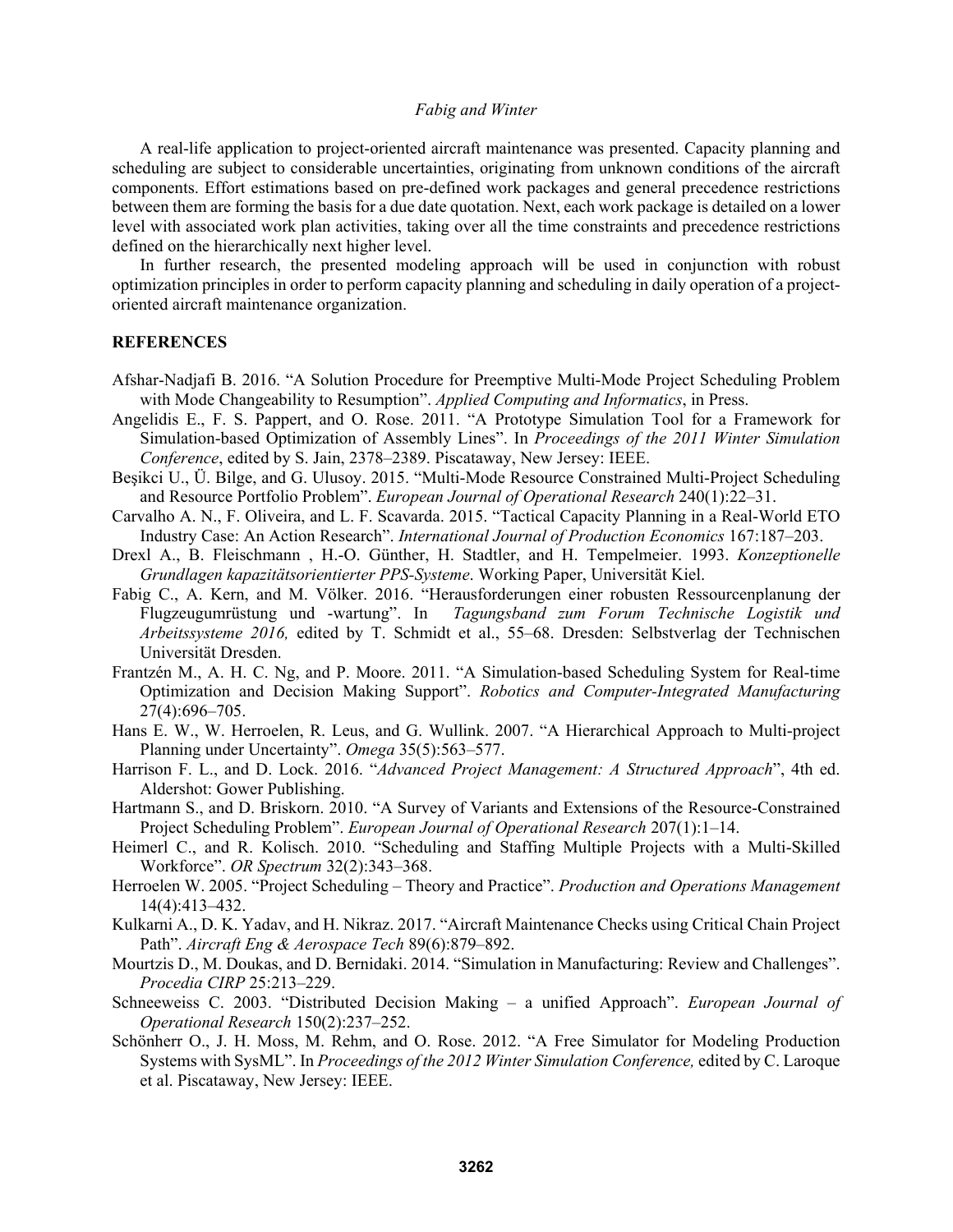A real-life application to project-oriented aircraft maintenance was presented. Capacity planning and scheduling are subject to considerable uncertainties, originating from unknown conditions of the aircraft components. Effort estimations based on pre-defined work packages and general precedence restrictions between them are forming the basis for a due date quotation. Next, each work package is detailed on a lower level with associated work plan activities, taking over all the time constraints and precedence restrictions defined on the hierarchically next higher level.

In further research, the presented modeling approach will be used in conjunction with robust optimization principles in order to perform capacity planning and scheduling in daily operation of a projectoriented aircraft maintenance organization.

### **REFERENCES**

- Afshar-Nadjafi B. 2016. "A Solution Procedure for Preemptive Multi-Mode Project Scheduling Problem with Mode Changeability to Resumption". *Applied Computing and Informatics*, in Press.
- Angelidis E., F. S. Pappert, and O. Rose. 2011. "A Prototype Simulation Tool for a Framework for Simulation-based Optimization of Assembly Lines". In *Proceedings of the 2011 Winter Simulation Conference*, edited by S. Jain, 2378–2389. Piscataway, New Jersey: IEEE.
- Beşikci U., Ü. Bilge, and G. Ulusoy. 2015. "Multi-Mode Resource Constrained Multi-Project Scheduling and Resource Portfolio Problem". *European Journal of Operational Research* 240(1):22–31.
- Carvalho A. N., F. Oliveira, and L. F. Scavarda. 2015. "Tactical Capacity Planning in a Real-World ETO Industry Case: An Action Research". *International Journal of Production Economics* 167:187–203.
- Drexl A., B. Fleischmann , H.-O. Günther, H. Stadtler, and H. Tempelmeier. 1993. *Konzeptionelle Grundlagen kapazitätsorientierter PPS-Systeme*. Working Paper, Universität Kiel.
- Fabig C., A. Kern, and M. Völker. 2016. "Herausforderungen einer robusten Ressourcenplanung der Flugzeugumrüstung und -wartung". In *Tagungsband zum Forum Technische Logistik und Arbeitssysteme 2016,* edited by T. Schmidt et al., 55–68. Dresden: Selbstverlag der Technischen Universität Dresden.
- Frantzén M., A. H. C. Ng, and P. Moore. 2011. "A Simulation-based Scheduling System for Real-time Optimization and Decision Making Support". *Robotics and Computer-Integrated Manufacturing* 27(4):696–705.
- Hans E. W., W. Herroelen, R. Leus, and G. Wullink. 2007. "A Hierarchical Approach to Multi-project Planning under Uncertainty". *Omega* 35(5):563–577.
- Harrison F. L., and D. Lock. 2016. "*Advanced Project Management: A Structured Approach*", 4th ed. Aldershot: Gower Publishing.
- Hartmann S., and D. Briskorn. 2010. "A Survey of Variants and Extensions of the Resource-Constrained Project Scheduling Problem". *European Journal of Operational Research* 207(1):1–14.
- Heimerl C., and R. Kolisch. 2010. "Scheduling and Staffing Multiple Projects with a Multi-Skilled Workforce". *OR Spectrum* 32(2):343–368.
- Herroelen W. 2005. "Project Scheduling Theory and Practice". *Production and Operations Management* 14(4):413–432.
- Kulkarni A., D. K. Yadav, and H. Nikraz. 2017. "Aircraft Maintenance Checks using Critical Chain Project Path". *Aircraft Eng & Aerospace Tech* 89(6):879–892.
- Mourtzis D., M. Doukas, and D. Bernidaki. 2014. "Simulation in Manufacturing: Review and Challenges". *Procedia CIRP* 25:213–229.
- Schneeweiss C. 2003. "Distributed Decision Making a unified Approach". *European Journal of Operational Research* 150(2):237–252.
- Schönherr O., J. H. Moss, M. Rehm, and O. Rose. 2012. "A Free Simulator for Modeling Production Systems with SysML". In *Proceedings of the 2012 Winter Simulation Conference,* edited by C. Laroque et al. Piscataway, New Jersey: IEEE.